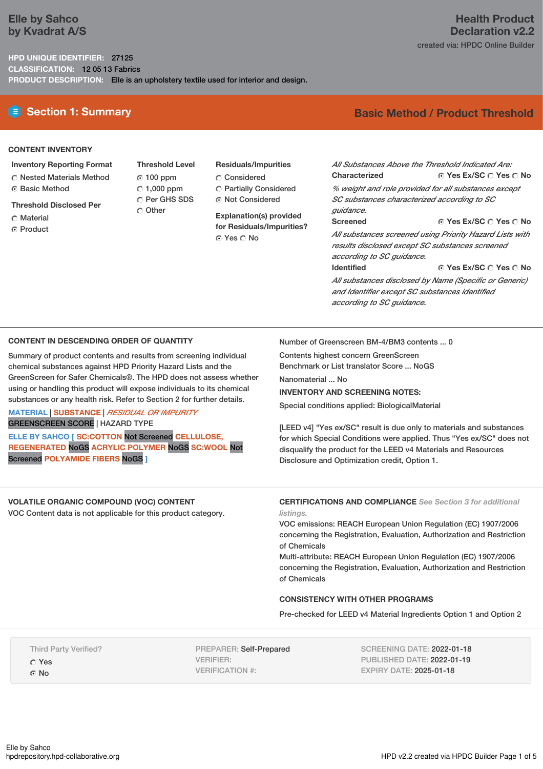# **Elle by Sahco by Kvadrat A/S**

**HPD UNIQUE IDENTIFIER:** 27125 **CLASSIFICATION:** 12 05 13 Fabrics **PRODUCT DESCRIPTION:** Elle is an upholstery textile used for interior and design.

# **E** Section 1: Summary **Basic** Method / Product Threshold

## **CONTENT INVENTORY**

- **Inventory Reporting Format**
- Nested Materials Method
- Basic Method
- **Threshold Disclosed Per**
- C Material
- **G** Product
- **Threshold Level** 100 ppm  $C$  1,000 ppm C Per GHS SDS Other
- **Residuals/Impurities** Considered Partially Considered Not Considered

**Explanation(s) provided for Residuals/Impurities?** © Yes ∩ No

**Yes Ex/SC Yes No** *All Substances Above the Threshold Indicated Are:* **Characterized**

*% weight and role provided for all substances except SC substances characterized according to SC guidance.*

**Yes Ex/SC Yes No**

**Yes Ex/SC Yes No** *All substances screened using Priority Hazard Lists with results disclosed except SC substances screened according to SC guidance.* **Identified**

*All substances disclosed by Name (Specific or Generic) and Identifier except SC substances identified according to SC guidance.*

## **CONTENT IN DESCENDING ORDER OF QUANTITY**

Summary of product contents and results from screening individual chemical substances against HPD Priority Hazard Lists and the GreenScreen for Safer Chemicals®. The HPD does not assess whether using or handling this product will expose individuals to its chemical substances or any health risk. Refer to Section 2 for further details.

## **MATERIAL** | **SUBSTANCE** | *RESIDUAL OR IMPURITY* GREENSCREEN SCORE | HAZARD TYPE

**ELLE BY SAHCO [ SC:COTTON** Not Screened **CELLULOSE,**

**REGENERATED** NoGS **ACRYLIC POLYMER** NoGS **SC:WOOL** Not Screened **POLYAMIDE FIBERS** NoGS **]**

Number of Greenscreen BM-4/BM3 contents ... 0

Contents highest concern GreenScreen Benchmark or List translator Score ... NoGS

**Screened**

Nanomaterial ... No

## **INVENTORY AND SCREENING NOTES:**

Special conditions applied: BiologicalMaterial

[LEED v4] "Yes ex/SC" result is due only to materials and substances for which Special Conditions were applied. Thus "Yes ex/SC" does not disqualify the product for the LEED v4 Materials and Resources Disclosure and Optimization credit, Option 1.

**VOLATILE ORGANIC COMPOUND (VOC) CONTENT** VOC Content data is not applicable for this product category.

**CERTIFICATIONS AND COMPLIANCE** *See Section 3 for additional listings.*

VOC emissions: REACH European Union Regulation (EC) 1907/2006 concerning the Registration, Evaluation, Authorization and Restriction of Chemicals

Multi-attribute: REACH European Union Regulation (EC) 1907/2006 concerning the Registration, Evaluation, Authorization and Restriction of Chemicals

# **CONSISTENCY WITH OTHER PROGRAMS**

Pre-checked for LEED v4 Material Ingredients Option 1 and Option 2

Third Party Verified? Yes C<sub>No</sub>

PREPARER: Self-Prepared VERIFIER: VERIFICATION #:

SCREENING DATE: 2022-01-18 PUBLISHED DATE: 2022-01-19 EXPIRY DATE: 2025-01-18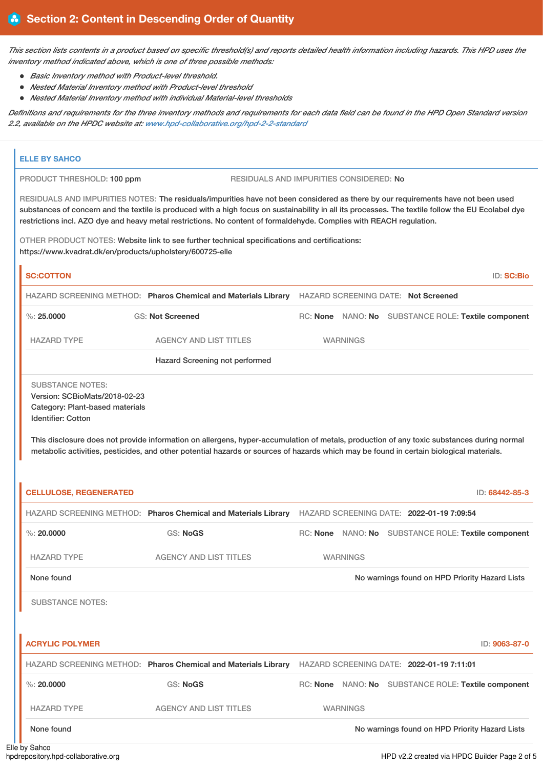This section lists contents in a product based on specific threshold(s) and reports detailed health information including hazards. This HPD uses the *inventory method indicated above, which is one of three possible methods:*

- *Basic Inventory method with Product-level threshold.*
- *Nested Material Inventory method with Product-level threshold*
- *Nested Material Inventory method with individual Material-level thresholds*

Definitions and requirements for the three inventory methods and requirements for each data field can be found in the HPD Open Standard version *2.2, available on the HPDC website at: [www.hpd-collaborative.org/hpd-2-2-standard](https://www.hpd-collaborative.org/hpd-2-2-standard)*

| <b>ELLE BY SAHCO</b>                                                  |                                                                                                                                                                                                                                                                                                                                                                                                                                                                                                                  |  |                 |                                                     |
|-----------------------------------------------------------------------|------------------------------------------------------------------------------------------------------------------------------------------------------------------------------------------------------------------------------------------------------------------------------------------------------------------------------------------------------------------------------------------------------------------------------------------------------------------------------------------------------------------|--|-----------------|-----------------------------------------------------|
| PRODUCT THRESHOLD: 100 ppm<br>RESIDUALS AND IMPURITIES CONSIDERED: No |                                                                                                                                                                                                                                                                                                                                                                                                                                                                                                                  |  |                 |                                                     |
| https://www.kvadrat.dk/en/products/upholstery/600725-elle             | RESIDUALS AND IMPURITIES NOTES: The residuals/impurities have not been considered as there by our requirements have not been used<br>substances of concern and the textile is produced with a high focus on sustainability in all its processes. The textile follow the EU Ecolabel dye<br>restrictions incl. AZO dye and heavy metal restrictions. No content of formaldehyde. Complies with REACH regulation.<br>OTHER PRODUCT NOTES: Website link to see further technical specifications and certifications: |  |                 |                                                     |
| <b>SC:COTTON</b>                                                      |                                                                                                                                                                                                                                                                                                                                                                                                                                                                                                                  |  |                 | <b>ID: SC:Bio</b>                                   |
|                                                                       | HAZARD SCREENING METHOD: Pharos Chemical and Materials Library HAZARD SCREENING DATE: Not Screened                                                                                                                                                                                                                                                                                                                                                                                                               |  |                 |                                                     |
| $\%$ : 25,0000                                                        | <b>GS: Not Screened</b>                                                                                                                                                                                                                                                                                                                                                                                                                                                                                          |  |                 | RC: None NANO: No SUBSTANCE ROLE: Textile component |
| <b>HAZARD TYPE</b>                                                    | <b>AGENCY AND LIST TITLES</b>                                                                                                                                                                                                                                                                                                                                                                                                                                                                                    |  | <b>WARNINGS</b> |                                                     |
|                                                                       | Hazard Screening not performed                                                                                                                                                                                                                                                                                                                                                                                                                                                                                   |  |                 |                                                     |
| Category: Plant-based materials<br><b>Identifier: Cotton</b>          |                                                                                                                                                                                                                                                                                                                                                                                                                                                                                                                  |  |                 |                                                     |
| <b>CELLULOSE, REGENERATED</b>                                         | This disclosure does not provide information on allergens, hyper-accumulation of metals, production of any toxic substances during normal<br>metabolic activities, pesticides, and other potential hazards or sources of hazards which may be found in certain biological materials.                                                                                                                                                                                                                             |  |                 | ID: 68442-85-3                                      |
|                                                                       | HAZARD SCREENING METHOD: Pharos Chemical and Materials Library HAZARD SCREENING DATE: 2022-01-19 7:09:54                                                                                                                                                                                                                                                                                                                                                                                                         |  |                 |                                                     |
| $\%$ : 20,0000                                                        | <b>GS: NoGS</b>                                                                                                                                                                                                                                                                                                                                                                                                                                                                                                  |  |                 | RC: None NANO: No SUBSTANCE ROLE: Textile component |
| <b>HAZARD TYPE</b>                                                    | <b>AGENCY AND LIST TITLES</b>                                                                                                                                                                                                                                                                                                                                                                                                                                                                                    |  | <b>WARNINGS</b> |                                                     |
| None found                                                            |                                                                                                                                                                                                                                                                                                                                                                                                                                                                                                                  |  |                 | No warnings found on HPD Priority Hazard Lists      |
| <b>SUBSTANCE NOTES:</b>                                               |                                                                                                                                                                                                                                                                                                                                                                                                                                                                                                                  |  |                 |                                                     |
| <b>ACRYLIC POLYMER</b>                                                |                                                                                                                                                                                                                                                                                                                                                                                                                                                                                                                  |  |                 | ID: 9063-87-0                                       |
|                                                                       | HAZARD SCREENING METHOD: Pharos Chemical and Materials Library HAZARD SCREENING DATE: 2022-01-19 7:11:01                                                                                                                                                                                                                                                                                                                                                                                                         |  |                 |                                                     |
| $\%$ : 20,0000                                                        | <b>GS: NoGS</b>                                                                                                                                                                                                                                                                                                                                                                                                                                                                                                  |  |                 | RC: None NANO: No SUBSTANCE ROLE: Textile component |
| <b>HAZARD TYPE</b>                                                    | <b>AGENCY AND LIST TITLES</b>                                                                                                                                                                                                                                                                                                                                                                                                                                                                                    |  | <b>WARNINGS</b> |                                                     |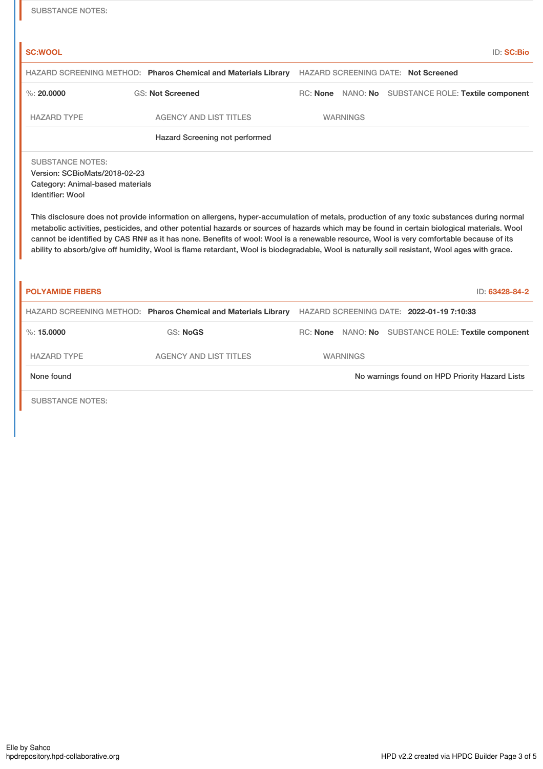| <b>SUBSTANCE NOTES:</b>                                                                                                                                                                                                                                                                                                                                                                                                                                                                                                                                                                                                                                                                                         |                                                                |                 |                                                     |  |  |  |
|-----------------------------------------------------------------------------------------------------------------------------------------------------------------------------------------------------------------------------------------------------------------------------------------------------------------------------------------------------------------------------------------------------------------------------------------------------------------------------------------------------------------------------------------------------------------------------------------------------------------------------------------------------------------------------------------------------------------|----------------------------------------------------------------|-----------------|-----------------------------------------------------|--|--|--|
| <b>SC:WOOL</b>                                                                                                                                                                                                                                                                                                                                                                                                                                                                                                                                                                                                                                                                                                  |                                                                |                 | <b>ID: SC:Bio</b>                                   |  |  |  |
|                                                                                                                                                                                                                                                                                                                                                                                                                                                                                                                                                                                                                                                                                                                 | HAZARD SCREENING METHOD: Pharos Chemical and Materials Library |                 | <b>HAZARD SCREENING DATE: Not Screened</b>          |  |  |  |
| $\%$ : 20.0000                                                                                                                                                                                                                                                                                                                                                                                                                                                                                                                                                                                                                                                                                                  | <b>GS: Not Screened</b>                                        |                 | RC: None NANO: No SUBSTANCE ROLE: Textile component |  |  |  |
| <b>HAZARD TYPE</b>                                                                                                                                                                                                                                                                                                                                                                                                                                                                                                                                                                                                                                                                                              | <b>AGENCY AND LIST TITLES</b>                                  | <b>WARNINGS</b> |                                                     |  |  |  |
|                                                                                                                                                                                                                                                                                                                                                                                                                                                                                                                                                                                                                                                                                                                 | Hazard Screening not performed                                 |                 |                                                     |  |  |  |
| <b>SUBSTANCE NOTES:</b><br>Version: SCBioMats/2018-02-23<br>Category: Animal-based materials<br><b>Identifier: Wool</b><br>This disclosure does not provide information on allergens, hyper-accumulation of metals, production of any toxic substances during normal<br>metabolic activities, pesticides, and other potential hazards or sources of hazards which may be found in certain biological materials. Wool<br>cannot be identified by CAS RN# as it has none. Benefits of wool: Wool is a renewable resource, Wool is very comfortable because of its<br>ability to absorb/give off humidity, Wool is flame retardant, Wool is biodegradable, Wool is naturally soil resistant, Wool ages with grace. |                                                                |                 |                                                     |  |  |  |
| <b>POLYAMIDE FIBERS</b>                                                                                                                                                                                                                                                                                                                                                                                                                                                                                                                                                                                                                                                                                         |                                                                |                 | ID: 63428-84-2                                      |  |  |  |
|                                                                                                                                                                                                                                                                                                                                                                                                                                                                                                                                                                                                                                                                                                                 | HAZARD SCREENING METHOD: Pharos Chemical and Materials Library |                 | HAZARD SCREENING DATE: 2022-01-19 7:10:33           |  |  |  |
| $\%$ : 15,0000                                                                                                                                                                                                                                                                                                                                                                                                                                                                                                                                                                                                                                                                                                  | <b>GS: NoGS</b>                                                |                 | RC: None NANO: No SUBSTANCE ROLE: Textile component |  |  |  |
| <b>HAZARD TYPE</b>                                                                                                                                                                                                                                                                                                                                                                                                                                                                                                                                                                                                                                                                                              | <b>AGENCY AND LIST TITLES</b>                                  | <b>WARNINGS</b> |                                                     |  |  |  |
| None found                                                                                                                                                                                                                                                                                                                                                                                                                                                                                                                                                                                                                                                                                                      |                                                                |                 | No warnings found on HPD Priority Hazard Lists      |  |  |  |
| <b>SUBSTANCE NOTES:</b>                                                                                                                                                                                                                                                                                                                                                                                                                                                                                                                                                                                                                                                                                         |                                                                |                 |                                                     |  |  |  |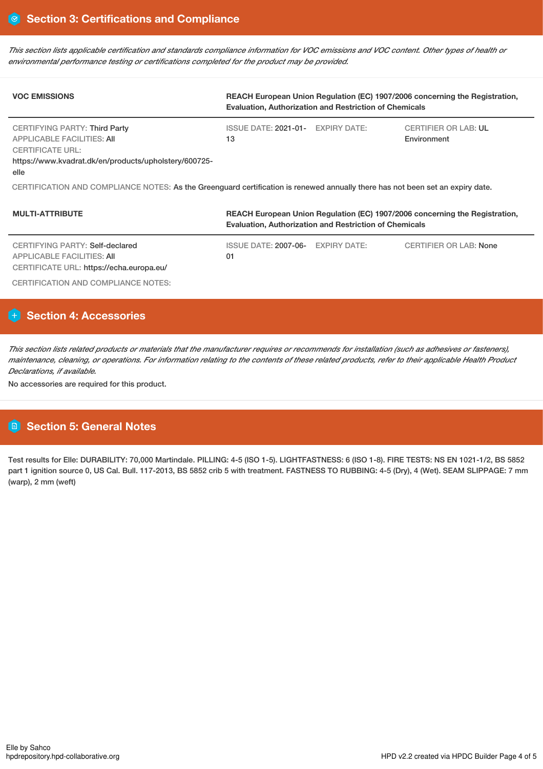This section lists applicable certification and standards compliance information for VOC emissions and VOC content. Other types of health or *environmental performance testing or certifications completed for the product may be provided.*

| <b>VOC EMISSIONS</b>                                                                                                                                                  | REACH European Union Regulation (EC) 1907/2006 concerning the Registration,<br><b>Evaluation, Authorization and Restriction of Chemicals</b> |                                            |  |  |  |  |
|-----------------------------------------------------------------------------------------------------------------------------------------------------------------------|----------------------------------------------------------------------------------------------------------------------------------------------|--------------------------------------------|--|--|--|--|
| <b>CERTIFYING PARTY: Third Party</b><br><b>APPLICABLE FACILITIES: AII</b><br><b>CERTIFICATE URL:</b><br>https://www.kvadrat.dk/en/products/upholstery/600725-<br>elle | ISSUE DATE: 2021-01- EXPIRY DATE:<br>13                                                                                                      | <b>CERTIFIER OR LAB: UL</b><br>Environment |  |  |  |  |
| CERTIFICATION AND COMPLIANCE NOTES: As the Greenguard certification is renewed annually there has not been set an expiry date.                                        |                                                                                                                                              |                                            |  |  |  |  |
| <b>MULTI-ATTRIBUTE</b>                                                                                                                                                | REACH European Union Regulation (EC) 1907/2006 concerning the Registration,<br><b>Evaluation, Authorization and Restriction of Chemicals</b> |                                            |  |  |  |  |
| CERTIFYING PARTY: Self-declared<br><b>APPLICABLE FACILITIES: AII</b>                                                                                                  | <b>ISSUE DATE: 2007-06-</b><br><b>EXPIRY DATE:</b><br>01                                                                                     | <b>CERTIFIER OR LAB: None</b>              |  |  |  |  |

CERTIFICATE URL: https://echa.europa.eu/

CERTIFICATION AND COMPLIANCE NOTES:

# **H** Section 4: Accessories

This section lists related products or materials that the manufacturer requires or recommends for installation (such as adhesives or fasteners), maintenance, cleaning, or operations. For information relating to the contents of these related products, refer to their applicable Health Product *Declarations, if available.*

No accessories are required for this product.

# **Section 5: General Notes**

Test results for Elle: DURABILITY: 70,000 Martindale. PILLING: 4-5 (ISO 1-5). LIGHTFASTNESS: 6 (ISO 1-8). FIRE TESTS: NS EN 1021-1/2, BS 5852 part 1 ignition source 0, US Cal. Bull. 117-2013, BS 5852 crib 5 with treatment. FASTNESS TO RUBBING: 4-5 (Dry), 4 (Wet). SEAM SLIPPAGE: 7 mm (warp), 2 mm (weft)